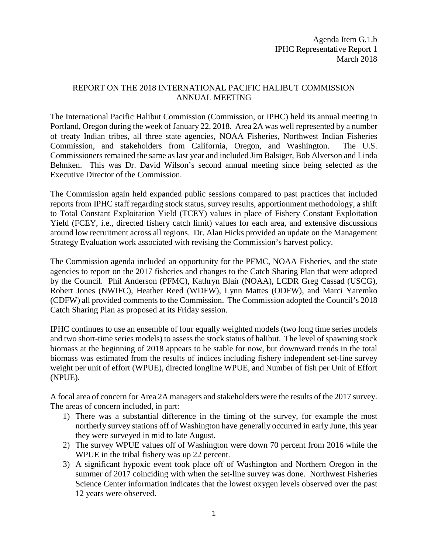## REPORT ON THE 2018 INTERNATIONAL PACIFIC HALIBUT COMMISSION ANNUAL MEETING

The International Pacific Halibut Commission (Commission, or IPHC) held its annual meeting in Portland, Oregon during the week of January 22, 2018. Area 2A was well represented by a number of treaty Indian tribes, all three state agencies, NOAA Fisheries, Northwest Indian Fisheries Commission, and stakeholders from California, Oregon, and Washington. The U.S. Commissioners remained the same as last year and included Jim Balsiger, Bob Alverson and Linda Behnken. This was Dr. David Wilson's second annual meeting since being selected as the Executive Director of the Commission.

The Commission again held expanded public sessions compared to past practices that included reports from IPHC staff regarding stock status, survey results, apportionment methodology, a shift to Total Constant Exploitation Yield (TCEY) values in place of Fishery Constant Exploitation Yield (FCEY, i.e., directed fishery catch limit) values for each area, and extensive discussions around low recruitment across all regions. Dr. Alan Hicks provided an update on the Management Strategy Evaluation work associated with revising the Commission's harvest policy.

The Commission agenda included an opportunity for the PFMC, NOAA Fisheries, and the state agencies to report on the 2017 fisheries and changes to the Catch Sharing Plan that were adopted by the Council. Phil Anderson (PFMC), Kathryn Blair (NOAA), LCDR Greg Cassad (USCG), Robert Jones (NWIFC), Heather Reed (WDFW), Lynn Mattes (ODFW), and Marci Yaremko (CDFW) all provided comments to the Commission. The Commission adopted the Council's 2018 Catch Sharing Plan as proposed at its Friday session.

IPHC continues to use an ensemble of four equally weighted models (two long time series models and two short-time series models) to assess the stock status of halibut. The level of spawning stock biomass at the beginning of 2018 appears to be stable for now, but downward trends in the total biomass was estimated from the results of indices including fishery independent set-line survey weight per unit of effort (WPUE), directed longline WPUE, and Number of fish per Unit of Effort (NPUE).

A focal area of concern for Area 2A managers and stakeholders were the results of the 2017 survey. The areas of concern included, in part:

- 1) There was a substantial difference in the timing of the survey, for example the most northerly survey stations off of Washington have generally occurred in early June, this year they were surveyed in mid to late August.
- 2) The survey WPUE values off of Washington were down 70 percent from 2016 while the WPUE in the tribal fishery was up 22 percent.
- 3) A significant hypoxic event took place off of Washington and Northern Oregon in the summer of 2017 coinciding with when the set-line survey was done. Northwest Fisheries Science Center information indicates that the lowest oxygen levels observed over the past 12 years were observed.